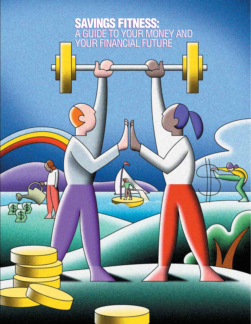### SAVINGS FITNESS: A GUIDE TO YOUR MONEY AND YOUR FINANCIAL FUTURE SAVINGS FITNESS: A GUIDE TO YOUR MONEY AND YOUR FINANCIAL FUTURE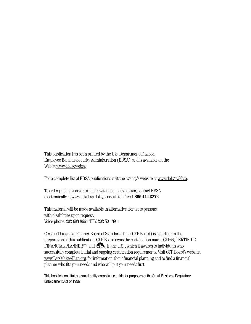This publication has been printed by the U.S. Department of Labor, Employee Benefits Security Administration (EBSA), and is available on the Web at [www.dol.gov/ebsa.](www.dol.gov/ebsa)

For a complete list of EBSA publications visit the agency's website at www.dol.gov/ebsa.

To order publications or to speak with a benefits advisor, contact EBSA electronically at<www.askebsa.dol.gov> or call toll free **1-866-444-3272**.

This material will be made available in alternative format to persons with disabilities upon request: Voice phone: 202-693-8664 TTY: 202-501-3911

Certified Financial Planner Board of Standards Inc. (CFP Board) is a partner in the preparation of this publication. CFP Board owns the certification marks CFP®, CERTIFIED FINANCIAL PLANNER<sup>TM</sup> and  $\bullet$   $\bullet$  in the U.S., which it awards to individuals who successfully complete initial and ongoing certification requirements. Visit CFP Board's website, www.LetsMakeAPlan.org, for information about financial planning and to find a financial planner who fits your needs and who will put your needs first.

This booklet constitutes a small entity compliance guide for purposes of the Small Business Regulatory Enforcement Act of 1996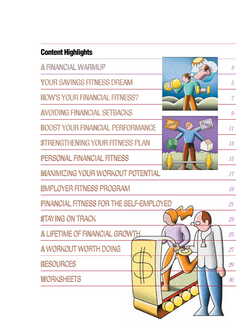# Content Highlights

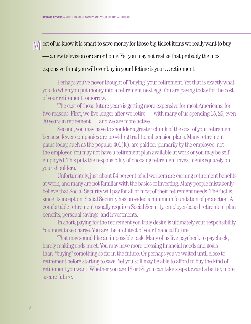ost of us know it is smart to save money for those big-ticket items we really want to buy M

— a new television or car or home. Yet you may not realize that probably the most

expensive thing you will ever buy in your lifetime is your…retirement.

Perhaps you've never thought of "buying" your retirement. Yet that is exactly what you do when you put money into a retirement nest egg. You are paying today for the cost of your retirement tomorrow.

The cost of those future years is getting more expensive for most Americans, for two reasons. First, we live longer after we retire — with many of us spending 15, 25, even 30 years in retirement — and we are more active.

Second, you may have to shoulder a greater chunk of the cost of your retirement because fewer companies are providing traditional pension plans. Many retirement plans today, such as the popular 401(k), are paid for primarily by the employee, not the employer. You may not have a retirement plan available at work or you may be selfemployed. This puts the responsibility of choosing retirement investments squarely on your shoulders.

Unfortunately, just about 54 percent of all workers are earning retirement benefits at work, and many are not familiar with the basics of investing. Many people mistakenly believe that Social Security will pay for all or most of their retirement needs. The fact is, since its inception, Social Security has provided a minimum foundation of protection. A comfortable retirement usually requires Social Security, employer-based retirement plan benefits, personal savings, and investments.

In short, paying for the retirement you truly desire is ultimately your responsibility. You must take charge. You are the architect of your financial future.

That may sound like an impossible task. Many of us live paycheck to paycheck, barely making ends meet. You may have more pressing financial needs and goals than "buying" something so far in the future. Or perhaps you've waited until close to retirement before starting to save. Yet you still may be able to afford to buy the kind of retirement you want. Whether you are 18 or 58, you can take steps toward a better, more secure future.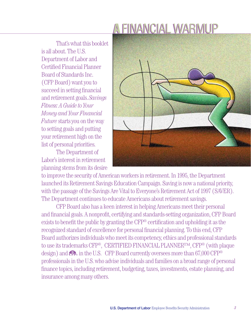# A FINANCIAL WARMUP

That's what this booklet is all about. The U.S. Department of Labor and Certified Financial Planner Board of Standards Inc. (CFP Board) want you to succeed in setting financial and retirement goals. *Savings Fitness: A Guide to Your Money and Your Financial Future* starts you on the way to setting goals and putting your retirement high on the list of personal priorities.

The Department of Labor's interest in retirement planning stems from its desire



to improve the security of American workers in retirement. In 1995, the Department launched its Retirement Savings Education Campaign. Saving is now a national priority, with the passage of the Savings Are Vital to Everyone's Retirement Act of 1997 (SAVER). The Department continues to educate Americans about retirement savings.

CFP Board also has a keen interest in helping Americans meet their personal and financial goals. A nonprofit, certifying and standards-setting organization, CFP Board exists to benefit the public by granting the CFP® certification and upholding it as the recognized standard of excellence for personal financial planning. To this end, CFP Board authorizes individuals who meet its competency, ethics and professional standards to use its trademarks CFP®, CERTIFIED FINANCIAL PLANNER™, CFP® (with plaque design) and  $\epsilon_{\text{FP}}$  in the U.S. CFP Board currently oversees more than 67,000 CFP® professionals in the U.S. who advise individuals and families on a broad range of personal finance topics, including retirement, budgeting, taxes, investments, estate planning, and insurance among many others.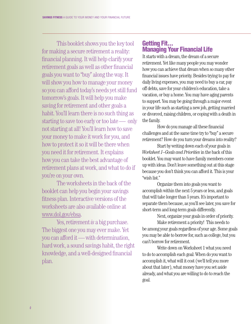This booklet shows you the key tool for making a secure retirement a reality: financial planning. It will help clarify your retirement goals as well as other financial goals you want to "buy" along the way. It will show you how to manage your money so you can afford today's needs yet still fund tomorrow's goals. It will help you make saving for retirement and other goals a habit. You'll learn there is no such thing as starting to save too early or too late — only not starting at all! You'll learn how to save your money to make it work for you, and how to protect it so it will be there when you need it for retirement. It explains how you can take the best advantage of retirement plans at work, and what to do if you're on your own.

The worksheets in the back of the booklet can help you begin your savings fitness plan. Interactive versions of the worksheets are also available online at www.dol.gov/ebsa.

Yes, retirement *is* a big purchase. The biggest one you may ever make. Yet you can afford it — with determination, hard work, a sound savings habit, the right knowledge, and a well-designed financial plan.

# Getting Fit... Managing Your Financial Life

It starts with a dream, the dream of a secure retirement. Yet like many people you may wonder how you can achieve that dream when so many other financial issues have priority. Besides trying to pay for daily living expenses, you may need to buy a car, pay off debts, save for your children's education, take a vacation, or buy a home. You may have aging parents to support. You may be going through a major event in your life such as starting a new job, getting married or divorced, raising children, or coping with a death in the family.

How do you manage all these financial challenges and at the same time try to "buy" a secure retirement? How do you turn your dreams into reality?

Start by writing down each of your goals in *Worksheet 1–Goals and Priorities* in the back of this booklet. You may want to have family members come up with ideas. Don't leave something out at this stage because you don't think you can afford it. This is your "wish list."

Organize them into goals you want to accomplish within the next 5 years or less, and goals that will take longer than 5 years. It's important to separate them because, as you'll see later, you save for short-term and long-term goals differently.

Next, organize your goals in order of priority.

Make retirement a priority! This needs to be among your goals regardless of your age. Some goals you may be able to borrow for, such as college, but you can't borrow for retirement.

Write down on Worksheet 1 what you need to do to accomplish each goal: When do you want to accomplish it, what will it cost (we'll tell you more about that later), what money have you set aside already, and what you are willing to do to reach the goal.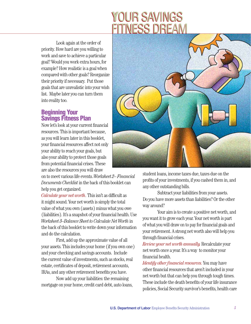# YOUR SAVINGS YOUR SAVINGS FITNESS DREAM FITNESS DREAM

Look again at the order of priority. How hard are you willing to work and save to achieve a particular goal? Would you work extra hours, for example? How realistic is a goal when compared with other goals? Reorganize their priority if necessary. Put those goals that are unrealistic into your wish list. Maybe later you can turn them into reality too.

# Beginning Your Savings Fitness Plan

Now let's look at your current financial resources. This is important because, as you will learn later in this booklet, your financial resources affect not only your ability to reach your goals, but also your ability to protect those goals from potential financial crises. These

are also the resources you will draw on to meet various life events. *Worksheet 2– Financial Documents Checklist* in the back of this booklet can help you get organized.

*Calculate your net worth*. This isn't as difficult as it might sound. Your net worth is simply the total value of what you own (assets) minus what you owe (liabilities). It's a snapshot of your financial health. Use *Worksheet 3–Balance Sheet to Calculate Net Worth* in the back of this booklet to write down your information and do the calculation.

First, add up the approximate value of all your assets. This includes your home (if you own one) and your checking and savings accounts. Include the current value of investments, such as stocks, real estate, certificates of deposit, retirement accounts, IRAs, and any other retirement benefits you have.

Now add up your liabilities: the remaining mortgage on your home, credit card debt, auto loans,



student loans, income taxes due, taxes due on the profits of your investments, if you cashed them in, and any other outstanding bills.

Subtract your liabilities from your assets. Do you have more assets than liabilities? Or the other way around?

Your aim is to create a positive net worth, and you want it to grow each year. Your net worth is part of what you will draw on to pay for financial goals and your retirement. A strong net worth also will help you through financial crises.

*Review your net worth annually.* Recalculate your net worth once a year. It's a way to monitor your financial health.

*Identify other financial resources.* You may have other financial resources that aren't included in your net worth but that can help you through tough times. These include the death benefits of your life insurance policies, Social Security survivor's benefits, health care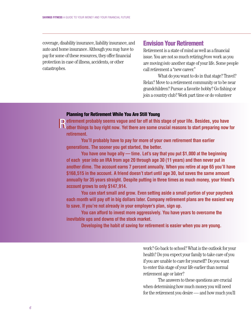coverage, disability insurance, liability insurance, and auto and home insurance. Although you may have to pay for some of these resources, they offer financial protection in case of illness, accidents, or other catastrophes.

# Envision Your Retirement

Retirement is a state of mind as well as a financial issue. You are not so much retiring *from* work as you are moving *into* another stage of your life. Some people call retirement a "new career."

What do you want to do in that stage? Travel? Relax? Move to a retirement community or to be near grandchildren? Pursue a favorite hobby? Go fishing or join a country club? Work part time or do volunteer

### Planning for Retirement While You Are Still Young

 $\bullet$  **etirement probably seems vague and far off at this stage of your life. Besides, you have Outher things to buy right now. Yet there are some crucial reasons to start preparing now for <br>Refer things to buy right now. Yet there are some crucial reasons to start preparing now for retirement.**

**You'll probably have to pay for more of your own retirement than earlier generations. The sooner you get started, the better.**

**You have one huge ally — time. Let's say that you put \$1,000 at the beginning of each year into an IRA from age 20 through age 30 (11 years) and then never put in another dime. The account earns 7 percent annually. When you retire at age 65 you'll have \$168,515 in the account. A friend doesn't start until age 30, but saves the same amount annually for 35 years straight. Despite putting in three times as much money, your friend's account grows to only \$147,914.** 

**You can start small and grow. Even setting aside a small portion of your paycheck each month will pay off in big dollars later. Company retirement plans are the easiest way to save. If you're not already in your employer's plan, sign up.**

**You can afford to invest more aggressively. You have years to overcome the inevitable ups and downs of the stock market.** 

**Developing the habit of saving for retirement is easier when you are young.**

work? Go back to school? What is the outlook for your health? Do you expect your family to take care of you if you are unable to care for yourself? Do you want to enter this stage of your life earlier than normal retirement age or later?

The answers to these questions are crucial when determining how much money you will need for the retirement you desire — and how much you'll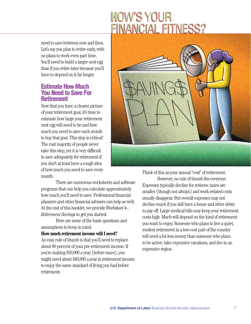# HOW'S YOUR FINANCIAL FITNESS? HOW'S YOUR FINANCIAL FITNESS?

need to save between now and then. Let's say you plan to retire early, with no plans to work even part time. You'll need to build a larger nest egg than if you retire later because you'll have to depend on it far longer.

# Estimate How Much You Need to Save For Retirement

Now that you have a clearer picture of your retirement goal, it's time to estimate how large your retirement nest egg will need to be and how much you need to save each month to buy that goal. This step is critical! The vast majority of people never take this step, yet it is very difficult to save adequately for retirement if you don't at least have a rough idea of how much you need to save every month.

There are numerous worksheets and software programs that can help you calculate approximately how much you'll need to save. Professional financial planners and other financial advisers can help as well. At the end of this booklet, we provide *Worksheet 4– Retirement Savings* to get you started.

Here are some of the basic questions and assumptions to keep in mind.

### **How much retirement income will I need?**

An easy rule of thumb is that you'll need to replace about 80 percent of your pre-retirement income. If you're making \$50,000 a year (before taxes), you might need about \$40,000 a year in retirement income to enjoy the same standard of living you had before retirement.

Think of this as your annual "cost" of retirement.

However, no rule of thumb fits everyone. Expenses typically decline for retirees: taxes are smaller (though not always) and work-related costs usually disappear. But overall expenses may not decline much if you still have a home and other debts to pay off. Large medical bills may keep your retirement costs high. Much will depend on the kind of retirement you want to enjoy. Someone who plans to live a quiet, modest retirement in a low-cost part of the country will need a lot less money than someone who plans to be active, take expensive vacations, and live in an expensive region.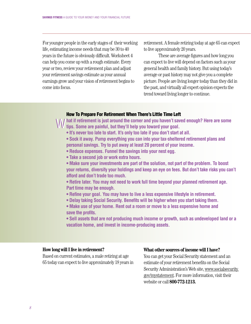For younger people in the early stages of their working life, estimating income needs that may be 30 to 40 years in the future is obviously difficult. Worksheet 4 can help you come up with a rough estimate. Every year or two, review your retirement plan and adjust your retirement savings estimate as your annual earnings grow and your vision of retirement begins to come into focus.

retirement. A female retiring today at age 65 can expect to live approximately 20 years.

These are average figures and how long you can expect to live will depend on factors such as your general health and family history. But using today's average or past history may not give you a complete picture. People are living longer today than they did in the past, and virtually all expert opinion expects the trend toward living longer to continue.

#### How To Prepare For Retirement When There's Little Time Left

**What if retirement is just around the corner and you haven't saved enough? Here are some**<br>Whips. Some are painful, but they'll help you toward your goal. **tips. Some are painful, but they'll help you toward your goal.**

**• It's never too late to start. It's only too late if you don't start at all.**

**• Sock it away. Pump everything you can into your tax-sheltered retirement plans and personal savings. Try to put away at least 20 percent of your income.** 

- **Reduce expenses. Funnel the savings into your nest egg.**
- **Take a second job or work extra hours.**

**• Make sure your investments are part of the solution, not part of the problem. To boost your returns, diversify your holdings and keep an eye on fees. But don't take risks you can't afford and don't trade too much.**

**• Retire later. You may not need to work full time beyond your planned retirement age. Part time may be enough.** 

- **Refine your goal. You may have to live a less expensive lifestyle in retirement.**
- **Delay taking Social Security. Benefits will be higher when you start taking them.**

**• Make use of your home. Rent out a room or move to a less expensive home and save the profits.**

**• Sell assets that are not producing much income or growth, such as undeveloped land or a vacation home, and invest in income-producing assets.**

#### **How long will I live in retirement?**

Based on current estimates, a male retiring at age 65 today can expect to live approximately 18 years in

#### **What other sources of income will I have?**

You can get your Social Security statement and an estimate of your retirement benefits on the Social Security Administration's Web site, [www.socialsecurity.](http://www.socialsecurity.gov/mystatement) [gov/mystatement.](http://www.socialsecurity.gov/mystatement) For more information, visit their website or call **800-772-1213.**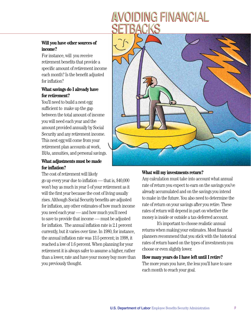# AVOIDING FINANCIAL AVOIDING FINANCIAL **SETBACKS SETBACKS**

## **Will you have other sources of income?**

For instance, will you receive retirement benefits that provide a specific amount of retirement income each month? Is the benefit adjusted for inflation?

## **What savings do I already have for retirement?**

You'll need to build a nest egg sufficient to make up the gap between the total amount of income you will need each year and the amount provided annually by Social Security and any retirement income. This nest egg will come from your retirement plan accounts at work, IRAs, annuities, and personal savings.

## **What adjustments must be made for inflation?**

The cost of retirement will likely

go up every year due to inflation — that is, \$40,000 won't buy as much in year 5 of your retirement as it will the first year because the cost of living usually rises. Although Social Security benefits are adjusted for inflation, any other estimates of how much income you need each year — and how much you'll need to save to provide that income — must be adjusted for inflation. The annual inflation rate is 2.1 percent currently, but it varies over time. In 1980, for instance, the annual inflation rate was 13.5 percent; in 1998, it reached a low of 1.6 percent. When planning for your retirement it is always safer to assume a higher, rather than a lower, rate and have your money buy more than you previously thought.

## **What will my investments return?**

Any calculation must take into account what annual rate of return you expect to earn on the savings you've already accumulated and on the savings you intend to make in the future. You also need to determine the rate of return on your savings after you retire. These rates of return will depend in part on whether the money is inside or outside a tax-deferred account.

It's important to choose realistic annual returns when making your estimates. Most financial planners recommend that you stick with the historical rates of return based on the types of investments you choose or even slightly lower.

### **How many years do I have left until I retire?**

The more years you have, the less you'll have to save each month to reach your goal.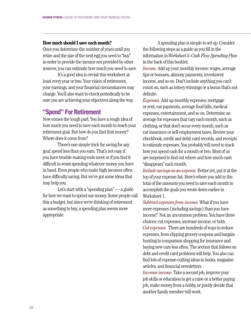#### **How much should I save each month?**

Once you determine the number of years until you retire and the size of the nest egg you need to "buy" in order to provide the income not provided by other sources, you can estimate how much you need to save.

It's a good idea to revisit this worksheet at least every year or two. Your vision of retirement, your earnings, and your financial circumstances may change. You'll also want to check periodically to be sure you are achieving your objectives along the way.

# "Spend" For Retirement

Now comes the tough part. You have a rough idea of how much you need to save each month to reach your retirement goal. But how do you find that money? Where does it come from?

There's one simple trick for saving for any goal: spend less than you earn. That's not easy if you have trouble making ends meet or if you find it difficult to resist spending whatever money you have in hand. Even people who make high incomes often have difficulty saving. But we've got some ideas that may help you.

Let's start with a "spending plan" — a guide for how we want to spend our money. Some people call this a budget, but since we're thinking of retirement as something to buy, a spending plan seems more appropriate.

A spending plan is simple to set up. Consider the following steps as a guide as you fill in the information in *Worksheet 5–Cash Flow Spending Plan* in the back of this booklet.

*Income.* Add up your monthly income: wages, average tips or bonuses, alimony payments, investment income, and so on. Don't include anything you can't count on, such as lottery winnings or a bonus that's not definite.

*Expenses.* Add up monthly expenses: mortgage or rent, car payments, average food bills, medical expenses, entertainment, and so on. Determine an average for expenses that vary each month, such as clothing, or that don't occur every month, such as car insurance or self-employment taxes. Review your checkbook, credit and debit card records, and receipts to estimate expenses. You probably will need to track how you spend cash for a month or two. Most of us are surprised to find out where and how much cash "disappears" each month.

*Include savings as an expense.* Better yet, put it at the top of your expense list. Here's where you add in the total of the amounts you need to save each month to accomplish the goals you wrote down earlier in Worksheet 1.

*Subtract expenses from income.* What if you have more expenses (including savings) than you have income? Not an uncommon problem. You have three choices: cut expenses, increase income, or both. *Cut expenses.* There are hundreds of ways to reduce expenses, from clipping grocery coupons and bargain hunting to comparison shopping for insurance and buying new cars less often. The section that follows on debt and credit card problems will help. You also can find lots of expense-cutting ideas in books, magazine articles, and financial newsletters.

*Increase income.* Take a second job, improve your job skills or education to get a raise or a better paying job, make money from a hobby, or jointly decide that another family member will work.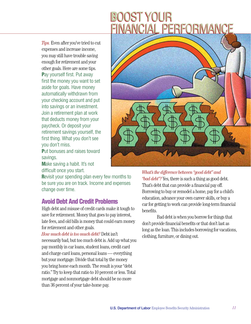# BOOST YOUR BOOST YOUR FINANCIAL PERFORMANCE FINANCIAL PERFORMANCE

*Tips.* Even after you've tried to cut expenses and increase income, you may still have trouble saving enough for retirement and your other goals. Here are some tips. Pay yourself first. Put away first the money you want to set aside for goals. Have money automatically withdrawn from your checking account and put into savings or an investment. Join a retirement plan at work that deducts money from your paycheck. Or deposit your retirement savings yourself, the first thing. What you don't see you don't miss.

Put bonuses and raises toward savings.

Make saving a habit. It's not difficult once you start.

**R**evisit your spending plan every few months to be sure you are on track. Income and expenses change over time.

# Avoid Debt And Credit Problems

High debt and misuse of credit cards make it tough to save for retirement. Money that goes to pay interest, late fees, and old bills is money that could earn money for retirement and other goals.

*How much debt is too much debt?* Debt isn't necessarily bad, but too much debt is. Add up what you pay monthly in car loans, student loans, credit card and charge card loans, personal loans — everything but your mortgage. Divide that total by the money you bring home each month. The result is your "debt ratio." Try to keep that ratio to 10 percent or less. Total mortgage and nonmortgage debt should be no more than 36 percent of your take-home pay.



*What's the difference between "good debt" and "bad debt"?* Yes, there is such a thing as good debt. That's debt that can provide a financial pay off. Borrowing to buy or remodel a home, pay for a child's education, advance your own career skills, or buy a car for getting to work can provide long-term financial benefits.

Bad debt is when you borrow for things that don't provide financial benefits or that don't last as long as the loan. This includes borrowing for vacations, clothing, furniture, or dining out.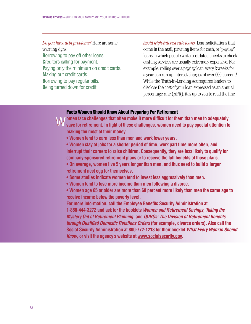*Do you have debt problems?* Here are some warning signs: **Borrowing to pay off other loans. Creditors calling for payment. Paying only the minimum on credit cards. Maxing out credit cards. Borrowing to pay regular bills. Being turned down for credit.** 

*Avoid high-interest rate loans.* Loan solicitations that come in the mail, pawning items for cash, or "payday" loans in which people write postdated checks to checkcashing services are usually extremely expensive. For example, rolling over a payday loan every 2 weeks for a year can run up interest charges of over 600 percent! While the Truth-in-Lending Act requires lenders to disclose the cost of your loan expressed as an annual percentage rate (APR), it is up to you to read the fine

#### Facts Women Should Know About Preparing For Retirement

W **omen face challenges that often make it more difficult for them than men to adequately save for retirement. In light of these challenges, women need to pay special attention to making the most of their money.**

**• Women tend to earn less than men and work fewer years.**

**• Women stay at jobs for a shorter period of time, work part time more often, and interrupt their careers to raise children. Consequently, they are less likely to qualify for company-sponsored retirement plans or to receive the full benefits of those plans.** 

**• On average, women live 5 years longer than men, and thus need to build a larger retirement nest egg for themselves.**

- **Some studies indicate women tend to invest less aggressively than men.**
- **Women tend to lose more income than men following a divorce.**

**• Women age 65 or older are more than 60 percent more likely than men the same age to receive income below the poverty level.**

**For more information, call the Employee Benefits Security Administration at 1-866-444-3272 and ask for the booklets** *Women and Retirement Savings, Taking the Mystery Out of Retirement Planning***, and** *QDROs: The Division of Retirement Benefits through Qualified Domestic Relations Orders* **(for example, divorce orders). Also call the Social Security Administration at 800-772-1213 for their booklet** *What Every Woman Should Know***, or visit the agency's website at <www.socialsecurity.gov>.**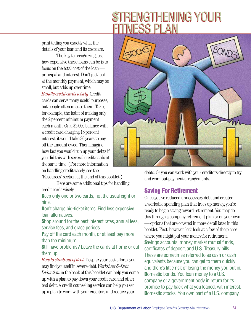# STRENGTHENING YOUR STRENGTHENING YOUR FITNESS PLAN FITNESS PLAN

print telling you exactly what the details of your loan and its costs are.

The key to recognizing just how expensive these loans can be is to focus on the total cost of the loan principal and interest. Don't just look at the monthly payment, which may be small, but adds up over time. *Handle credit cards wisely.* Credit cards can serve many useful purposes, but people often misuse them. Take, for example, the habit of making only the 2 percent minimum payment each month. On a \$2,000 balance with a credit card charging 18 percent interest, it would take 30 years to pay off the amount owed. Then imagine how fast you would run up your debts if you did this with several credit cards at the same time. (For more information on handling credit wisely, see the

"Resources" section at the end of this booklet.)

Here are some additional tips for handling credit cards wisely.

Keep only one or two cards, not the usual eight or nine.

Don't charge big-ticket items. Find less expensive loan alternatives.

Shop around for the best interest rates, annual fees, service fees, and grace periods.

Pay off the card each month, or at least pay more than the minimum.

**Still have problems? Leave the cards at home or cut** them up.

*How to climb out of debt.* Despite your best efforts, you may find yourself in severe debt. *Worksheet 6–Debt Reduction* in the back of this booklet can help you come up with a plan to pay down your credit card and other bad debt. A credit counseling service can help you set up a plan to work with your creditors and reduce your



debts. Or you can work with your creditors directly to try and work out payment arrangements.

# Saving For Retirement

Once you've reduced unnecessary debt and created a workable spending plan that frees up money, you're ready to begin saving toward retirement. You may do this through a company retirement plan or on your own — options that are covered in more detail later in this booklet. First, however, let's look at a few of the places where you might put your money for retirement. Savings accounts, money market mutual funds, certificates of deposit, and U.S. Treasury bills. These are sometimes referred to as cash or cash equivalents because you can get to them quickly and there's little risk of losing the money you put in. **Domestic bonds. You loan money to a U.S.** company or a government body in return for its promise to pay back what you loaned, with interest. **Domestic stocks. You own part of a U.S. company.**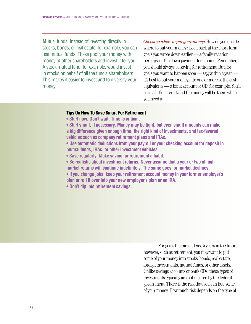Mutual funds. Instead of investing directly in stocks, bonds, or real estate, for example, you can use mutual funds. These pool your money with money of other shareholders and invest it for you. A stock mutual fund, for example, would invest in stocks on behalf of all the fund's shareholders. This makes it easier to invest and to diversify your money.

*Choosing where to put your money.* How do you decide where to put your money? Look back at the short-term goals you wrote down earlier — a family vacation, perhaps, or the down payment for a home. Remember, you should always be saving for retirement. But, for goals you want to happen soon — say, within a year it's best to put your money into one or more of the cash equivalents — a bank account or CD, for example. You'll earn a little interest and the money will be there when you need it.

### Tips On How To Save Smart For Retirement

**• Start now. Don't wait. Time is critical.** 

**• Start small, if necessary. Money may be tight, but even small amounts can make a big difference given enough time, the right kind of investments, and tax-favored vehicles such as company retirement plans and IRAs.**

**• Use automatic deductions from your payroll or your checking account for deposit in mutual funds, IRAs, or other investment vehicles.**

- **Save regularly. Make saving for retirement a habit.**
- **Be realistic about investment returns. Never assume that a year or two of high market returns will continue indefinitely. The same goes for market declines.**
- **If you change jobs, keep your retirement account money in your former employer's plan or roll it over into your new employer's plan or an IRA.**
- **Don't dip into retirement savings.**

 For goals that are at least 5 years in the future, however, such as retirement, you may want to put some of your money into stocks, bonds, real estate, foreign investments, mutual funds, or other assets. Unlike savings accounts or bank CDs, these types of investments typically are not insured by the federal government. There is the risk that you can lose some of your money. How much risk depends on the type of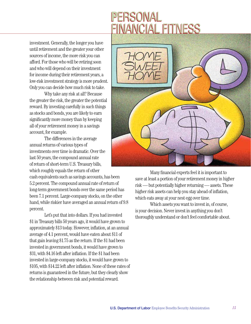# PERSONAL FINANCIAL FITNESS PERSONAL FINANCIAL FITNESS

investment. Generally, the longer you have until retirement and the greater your other sources of income, the more risk you can afford. For those who will be retiring soon and who will depend on their investment for income during their retirement years, a low-risk investment strategy is more prudent. Only you can decide how much risk to take.

Why take any risk at all? Because the greater the risk, the greater the potential reward. By investing carefully in such things as stocks and bonds, you are likely to earn significantly more money than by keeping all of your retirement money in a savings account, for example.

The differences in the average annual returns of various types of investments over time is dramatic. Over the last 50 years, the compound annual rate of return of short-term U.S. Treasury bills, which roughly equals the return of other

cash equivalents such as savings accounts, has been 5.2 percent. The compound annual rate of return of long-term government bonds over the same period has been 7.1 percent. Large-company stocks, on the other hand, while riskier have averaged an annual return of 9.8 percent.

Let's put that into dollars. If you had invested \$1 in Treasury bills 50 years ago, it would have grown to approximately \$13 today. However, inflation, at an annual average of 4.1 percent, would have eaten about \$11 of that gain leaving \$1.75 as the return. If the \$1 had been invested in government bonds, it would have grown to \$31, with \$4.16 left after inflation. If the \$1 had been invested in large-company stocks, it would have grown to \$105, with \$14.22 left after inflation. None of these rates of returns is guaranteed in the future, but they clearly show the relationship between risk and potential reward.



Many financial experts feel it is important to save at least a portion of your retirement money in higher risk — but potentially higher returning — assets. These higher risk assets can help you stay ahead of inflation, which eats away at your nest egg over time.

Which assets you want to invest in, of course, is your decision. Never invest in anything you don't thoroughly understand or don't feel comfortable about.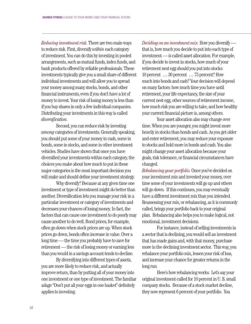*Reducing investment risk.* There are two main ways to reduce risk. First, diversify *within* each category of investment. You can do this by investing in pooled arrangements, such as mutual funds, index funds, and bank products offered by reliable professionals. These investments typically give you a small share of different individual investments and will allow you to spread your money among many stocks, bonds, and other financial instruments, even if you don't have a lot of money to invest. Your risk of losing money is less than if you buy shares in only a few individual companies. Distributing your investments in this way is called *diversification*.

Second, you can reduce risk by investing *among* categories of investments. Generally speaking, you should put some of your money in cash, some in bonds, some in stocks, and some in other investment vehicles. Studies have shown that once you have diversified your investments within each category, the choices you make about how much to put in these major categories is the most important decision you will make and should define your investment strategy.

Why diversify? Because at any given time one investment or type of investment might do better than another. Diversification lets you manage your risk in a particular investment or category of investments and decreases your chances of losing money. In fact, the factors that can cause one investment to do poorly may cause another to do well. Bond prices, for example, often go down when stock prices are up. When stock prices go down, bonds often increase in value. Over a long time — the time you probably have to save for retirement — the risk of losing money or earning less than you would in a savings account tends to decline.

By diversifying into different types of assets, you are more likely to reduce risk, and actually improve return, than by putting all of your money into one investment or one type of investment. The familiar adage "Don't put all your eggs in one basket" definitely applies to investing.

*Deciding on an investment mix.* How you diversify that is, how much you decide to put into each type of investment — is called asset allocation. For example, if you decide to invest in stocks, how much of your retirement nest egg should you put into stocks: 10 percent … 30 percent … 75 percent? How much into bonds and cash? Your decision will depend on many factors: how much time you have until retirement, your life expectancy, the size of your current nest egg, other sources of retirement income, how much risk you are willing to take, and how healthy your current financial picture is, among others.

Your asset allocation also may change over time. When you are younger, you might invest more heavily in stocks than bonds and cash. As you get older and enter retirement, you may reduce your exposure to stocks and hold more in bonds and cash. You also might change your asset allocation because your goals, risk tolerance, or financial circumstances have changed.

*Rebalancing your portfolio.* Once you've decided on your investment mix and invested your money, over time some of your investments will go up and others will go down. If this continues, you may eventually have a different investment mix than you intended. Reassessing your mix, or rebalancing, as it is commonly called, brings your portfolio back to your original plan. Rebalancing also helps you to make logical, not emotional, investment decisions.

For instance, instead of selling investments in a sector that is declining, you would sell an investment that has made gains and, with that money, purchase more in the declining investment sector. This way, you rebalance your portfolio mix, lessen your risk of loss, and increase your chance for greater returns in the long run.

Here's how rebalancing works: Let's say your original investment called for 10 percent in U. S. small company stocks. Because of a stock market decline, they now represent 6 percent of your portfolio. You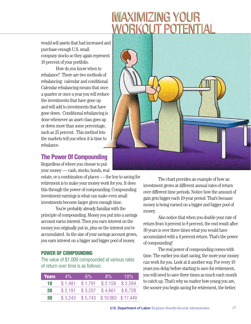# MAXIMIZING YOUR MAXIMIZING YOUR WORKOUT POTENTIAL WORKOUT POTENTIAL

would sell assets that had increased and purchase enough U.S. small company stocks so they again represent 10 percent of your portfolio.

How do you know when to rebalance? There are two methods of rebalancing: calendar and conditional. Calendar rebalancing means that once a quarter or once a year you will reduce the investments that have gone up and will add to investments that have gone down. Conditional rebalancing is done whenever an asset class goes up or down more than some percentage, such as 25 percent. This method lets the markets tell you when it is time to rebalance.

# The Power Of Compounding

Regardless of where you choose to put your money — cash, stocks, bonds, real

estate, or a combination of places — the key to saving for retirement is to make your money work for you. It does this through the power of compounding. Compounding investment earnings is what can make even small investments become larger given enough time.

You're probably already familiar with the principle of compounding. Money you put into a savings account earns interest. Then you earn interest on the money you originally put in, plus on the interest you've accumulated. As the size of your savings account grows, you earn interest on a bigger and bigger pool of money.

## POWER OF COMPOUNDING

The value of \$1,000 compounded at various rates of return over time is as follows:

| <b>Years</b> | $4\%$   | $6\%$   | 8%                        | 10%     |
|--------------|---------|---------|---------------------------|---------|
| 10           | \$1,481 | \$1,791 | \$2,159                   | \$2,594 |
| 20           | \$2.191 | \$3,207 | $$4,661$ $$6,728$         |         |
| 30           | \$3,243 |         | \$5,743 \$10,063 \$17,449 |         |



The chart provides an example of how an investment grows at different annual rates of return over different time periods. Notice how the amount of gain gets bigger each 10-year period. That's because money is being earned on a bigger and bigger pool of money.

Also notice that when you double your rate of return from 4 percent to 8 percent, the end result after 30 years is over three times what you would have accumulated with a 4 percent return. That's the power of compounding!

The real power of compounding comes with time. The earlier you start saving, the more your money can work for you. Look at it another way. For every 10 years you delay before starting to save for retirement, you will need to save three times as much each month to catch up. That's why no matter how young you are, the sooner you begin saving for retirement, the better.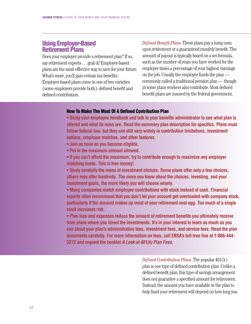## Using Employer-Based Retirement Plans

Does your employer provide a retirement plan? If so, say retirement experts . . . grab it! Employer-based plans are the most effective way to save for your future. What's more, you'll gain certain tax benefits. Employer-based plans come in one of two varieties (some employers provide both): defined benefit and defined contribution.

*Defined Benefit Plans.* These plans pay a lump sum upon retirement or a guaranteed monthly benefit. The amount of payout is typically based on a set formula, such as the number of years you have worked for the employer times a percentage of your highest earnings on the job. Usually the employer funds the plan commonly called a traditional pension plan — though in some plans workers also contribute. Most defined benefit plans are insured by the federal government.

#### How To Make The Most Of A Defined Contribution Plan

**• Study your employee handbook and talk to your benefits administrator to see what plan is offered and what its rules are. Read the summary plan description for specifics. Plans must follow federal law, but they can still vary widely in contribution limitations, investment options, employer matches, and other features.**

- **Join as soon as you become eligible.**
- **Put in the maximum amount allowed.**
- **If you can't afford the maximum, try to contribute enough to maximize any employer matching funds. This is free money!**

**• Study carefully the menu of investment choices. Some plans offer only a few choices, others may offer hundreds. The more you know about the choices, investing, and your investment goals, the more likely you will choose wisely.**

**• Many companies match employee contributions with stock instead of cash. Financial experts often recommend that you don't let your account get overloaded with company stock, particularly if the account makes up most of your retirement nest egg. Too much of a single stock increases risk.**

**• Plan fees and expenses reduce the amount of retirement benefits you ultimately receive from plans where you direct the investments. It's in your interest to learn as much as you can about your plan's administrative fees, investment fees, and service fees. Read the plan documents carefully. For more information on fees, call EBSA's toll-free line at 1-866-444- 3272 and request the booklet** *A Look at 401(k) Plan Fees***.**

> *Defined Contribution Plans.* The popular 401(k) plan is one type of defined contribution plan. Unlike a defined benefit plan, this type of savings arrangement does not guarantee a specified amount for retirement. Instead, the amount you have available in the plan to help fund your retirement will depend on how long you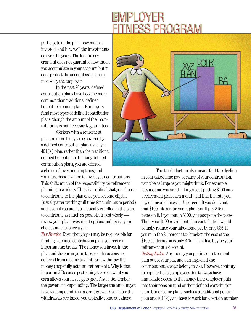# EMPLOYER EMPLOYER FITNESS PROGRAM FITNESS PROGRAM

participate in the plan, how much is invested, and how well the investments do over the years. The federal government does not guarantee how much you accumulate in your account, but it does protect the account assets from misuse by the employer.

In the past 20 years, defined contribution plans have become more common than traditional defined benefit retirement plans. Employers fund most types of defined contribution plans, though the amount of their contributions is not necessarily guaranteed.

Workers with a retirement plan are more likely to be covered by a defined contribution plan, usually a  $401(k)$  plan, rather than the traditional defined benefit plan. In many defined contribution plans, you are offered a choice of investment options, and

you must decide where to invest your contributions. This shifts much of the responsibility for retirement planning to workers. Thus, it is critical that you choose to contribute to the plan once you become eligible (usually after working full time for a minimum period) and, even if you are automatically enrolled in the plan, to contribute as much as possible. Invest wisely review your plan investment options and revisit your choices at least once a year.

*Tax Breaks.* Even though you may be responsible for funding a defined contribution plan, you receive important tax breaks. The money you invest in the plan and the earnings on those contributions are deferred from income tax until you withdraw the money (hopefully not until retirement). Why is that important? Because postponing taxes on what you earn allows your nest egg to grow faster. Remember the power of compounding? The larger the amount you have to compound, the faster it grows. Even after the withdrawals are taxed, you typically come out ahead.



The tax deduction also means that the decline in your take-home pay, because of your contribution, won't be as large as you might think. For example, let's assume you are thinking about putting \$100 into a retirement plan each month and that the rate you pay on income taxes is 15 percent. If you don't put that \$100 into a retirement plan, you'll pay \$15 in taxes on it. If you put in \$100, you postpone the taxes. Thus, your \$100 retirement plan contribution would actually reduce your take-home pay by only \$85. If you're in the 25 percent tax bracket, the cost of the \$100 contribution is only \$75. This is like buying your retirement at a discount.

*Vesting Rules.* Any money you put into a retirement plan out of your pay, and earnings on those contributions, always belong to you. However, contrary to popular belief, employees don't always have immediate access to the money their employer puts into their pension fund or their defined contribution plan. Under some plans, such as a traditional pension plan or  $a\ 401(k)$ , you have to work for a certain number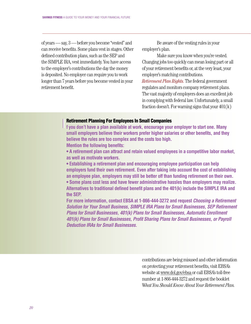of years — say, 3 — before you become "vested" and can receive benefits. Some plans vest in stages. Other defined contribution plans, such as the SEP and the SIMPLE IRA, vest immediately. You have access to the employer's contributions the day the money is deposited. No employer can require you to work longer than 7 years before you become vested in your retirement benefit.

 $\parallel$ 

Be aware of the vesting rules in your employer's plan.

Make sure you know when you're vested. Changing jobs too quickly can mean losing part or all of your retirement benefits or, at the very least, your employer's matching contributions.

*Retirement Plan Rights.* The federal government regulates and monitors company retirement plans. The vast majority of employers does an excellent job in complying with federal law. Unfortunately, a small fraction doesn't. For warning signs that your  $401(k)$ 

### Retirement Planning For Employees In Small Companies

**f you don't have a plan available at work, encourage your employer to start one. Many small employers believe their workers prefer higher salaries or other benefits, and they believe the rules are too complex and the costs too high. Mention the following benefits:** 

**• A retirement plan can attract and retain valued employees in a competitive labor market, as well as motivate workers.** 

**• Establishing a retirement plan and encouraging employee participation can help employers fund their own retirement. Even after taking into account the cost of establishing an employee plan, employers may still be better off than funding retirement on their own. • Some plans cost less and have fewer administrative hassles than employers may realize. Alternatives to traditional defined benefit plans and the 401(k) include the SIMPLE IRA and the SEP.** 

**For more information, contact EBSA at 1-866-444-3272 and request** *Choosing a Retirement Solution for Your Small Business, SIMPLE IRA Plans for Small Businesses, SEP Retirement Plans for Small Businesses, 401(k) Plans for Small Businesses, Automatic Enrollment 401(k) Plans for Small Businesses, Profit Sharing Plans for Small Businesses, or Payroll Deduction IRAs for Small Businesses***.**

> contributions are being misused and other information on protecting your retirement benefits, visit EBSA's website at www.dol.gov/ebsa or call EBSA's toll-free number at 1-866-444-3272 and request the booklet W*hat You Should Know About Your Retirement Plan.*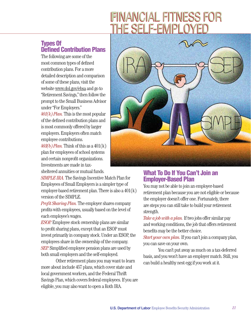# FINANCIAL FITNESS FOR FINANCIAL FITNESS FOR THE SELF-EMPLOYED THE SELF-EMPLOYED

# Types Of Defined Contribution Plans

The following are some of the most common types of defined contribution plans. For a more detailed description and comparison of some of these plans, visit the website www.dol.gov/ebsa and go to "Retirement Savings," then follow the prompt to the Small Business Advisor under "For Employers."

*401(k) Plan.* This is the most popular of the defined contribution plans and is most commonly offered by larger employers. Employers often match employee contributions.

*403(b) Plan.* Think of this as a 401(k) plan for employees of school systems and certain nonprofit organizations. Investments are made in tax-

sheltered annuities or mutual funds.

*SIMPLE IRA.* The Savings Incentive Match Plan for Employees of Small Employers is a simpler type of employer-based retirement plan. There is also a  $401(k)$ version of the SIMPLE.

*Profit Sharing Plan.* The employer shares company profits with employees, usually based on the level of each employee's wages.

*ESOP.* Employee stock ownership plans are similar to profit sharing plans, except that an ESOP must invest primarily in company stock. Under an ESOP, the employees share in the ownership of the company. *SEP.* Simplified employee pension plans are used by both small employers and the self-employed.

Other retirement plans you may want to learn more about include 457 plans, which cover state and local government workers, and the Federal Thrift Savings Plan, which covers federal employees. If you are eligible, you may also want to open a Roth IRA.



# What To Do If You Can't Join an Employer-Based Plan

You may not be able to join an employer-based retirement plan because you are not eligible or because the employer doesn't offer one. Fortunately, there are steps you can still take to build your retirement strength.

*Take a job with a plan.* If two jobs offer similar pay and working conditions, the job that offers retirement benefits may be the better choice.

*Start your own plan.* If you can't join a company plan, you can save on your own.

You can't put away as much on a tax-deferred basis, and you won't have an employer match. Still, you can build a healthy nest egg if you work at it.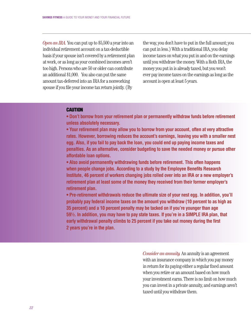*Open an IRA.* You can put up to \$5,500 a year into an individual retirement account on a tax-deductible basis if your spouse isn't covered by a retirement plan at work, or as long as your combined incomes aren't too high. Persons who are 50 or older can contribute an additional \$1,000. You also can put the same amount tax-deferred into an IRA for a nonworking spouse if you file your income tax return jointly. (By

the way, you don't have to put in the full amount; you can put in less.) With a traditional IRA, you delay income taxes on what you put in and on the earnings until you withdraw the money. With a Roth IRA, the money you put in is already taxed, but you won't ever pay income taxes on the earnings as long as the account is open at least 5 years.

#### **CAUTION**

**• Don't borrow from your retirement plan or permanently withdraw funds before retirement unless absolutely necessary.**

**• Your retirement plan may allow you to borrow from your account, often at very attractive rates. However, borrowing reduces the account's earnings, leaving you with a smaller nest egg. Also, if you fail to pay back the loan, you could end up paying income taxes and penalties. As an alternative, consider budgeting to save the needed money or pursue other affordable loan options.** 

**• Also avoid permanently withdrawing funds before retirement. This often happens when people change jobs. According to a study by the Employee Benefits Research Institute, 46 percent of workers changing jobs rolled over into an IRA or a new employer's retirement plan at least some of the money they received from their former employer's retirement plan.** 

**• Pre-retirement withdrawals reduce the ultimate size of your nest egg. In addition, you'll probably pay federal income taxes on the amount you withdraw (10 percent to as high as 35 percent) and a 10 percent penalty may be tacked on if you're younger than age 59½. In addition, you may have to pay state taxes. If you're in a SIMPLE IRA plan, that early withdrawal penalty climbs to 25 percent if you take out money during the first 2 years you're in the plan.**

> *Consider an annuity.* An annuity is an agreement with an insurance company in which you pay money in return for its paying either a regular fixed amount when you retire or an amount based on how much your investment earns. There is no limit on how much you can invest in a private annuity, and earnings aren't taxed until you withdraw them.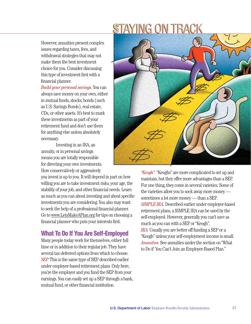# STAYING ON TRACK

However, annuities present complex issues regarding taxes, fees, and withdrawal strategies that may not make them the best investment choice for you. Consider discussing this type of investment first with a financial planner.

*Build your personal savings.* You can always save money on your own, either in mutual funds, stocks, bonds (such as U.S. Savings Bonds), real estate, CDs, or other assets. It's best to mark these investments as part of your retirement fund and don't use them for anything else unless absolutely necessary.

Investing in an IRA, an annuity, or in personal savings means you are totally responsible for directing your own investments. How conservatively or aggressively

you invest is up to you. It will depend in part on how willing you are to take investment risks, your age, the stability of your job, and other financial needs. Learn as much as you can about investing and about specific investments you are considering. You also may want to seek the help of a professional financial planner. Go to www.LetsMakeAPlan.org for tips on choosing a financial planner who puts your interests first.

# What To Do If You Are Self-Employed

Many people today work for themselves, either full time or in addition to their regular job. They have several tax-deferred options from which to choose. *SEP.* This is the same type of SEP described earlier under employer-based retirement plans. Only here, you're the employer and you fund the SEP from your earnings. You can easily set up a SEP through a bank, mutual fund, or other financial institution.



*"Keogh".* "Keoghs" are more complicated to set up and maintain, but they offer more advantages than a SEP. For one thing, they come in several varieties. Some of the varieties allow you to sock away more money sometimes a lot more money — than a SEP. *SIMPLE IRA.* Described earlier under employer-based retirement plans, a SIMPLE IRA can be used by the self-employed. However, generally you can't save as much as you can with a SEP or "Keogh". *IRA.* Usually you are better off funding a SEP or a "Keogh" unless your self-employment income is small. *Annuities.* See annuities under the section on "What to Do if You Can't Join an Employer-Based Plan."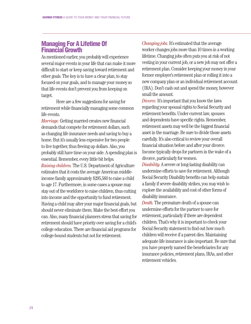# Managing For A Lifetime Of Financial Growth

As mentioned earlier, you probably will experience several major events in your life that can make it more difficult to start or keep saving toward retirement and other goals. The key is to have a clear plan, to stay focused on your goals, and to manage your money so that life events don't prevent you from keeping on target.

Here are a few suggestions for saving for retirement while financially managing some common life events.

*Marriage.* Getting married creates new financial demands that compete for retirement dollars, such as changing life insurance needs and saving to buy a home. But it's usually less expensive for two people to live together, thus freeing up dollars. Also, you probably still have time on your side. A spending plan is essential. Remember, every little bit helps. *Raising children.* The U.S. Department of Agriculture estimates that it costs the average American middleincome family approximately \$295,560 to raise a child to age 17. Furthermore, in some cases a spouse may stay out of the workforce to raise children, thus cutting into income and the opportunity to fund retirement. Having a child may alter your major financial goals, but should never eliminate them. Make the best effort you can. Also, many financial planners stress that saving for retirement should have priority over saving for a child's college education. There are financial aid programs for college-bound students but not for retirement.

*Changing jobs.* It's estimated that the average worker changes jobs more than 10 times in a working lifetime. Changing jobs often puts you at risk of not vesting in your current job, or a new job may not offer a retirement plan. Consider keeping your money in your former employer's retirement plan or rolling it into a new company plan or an individual retirement account (IRA). Don't cash out and spend the money, however small the amount.

*Divorce.* It's important that you know the laws regarding your spousal rights to Social Security and retirement benefits. Under current law, spouses and dependents have specific rights. Remember, retirement assets may well be the biggest financial asset in the marriage. Be sure to divide those assets carefully. It's also critical to review your overall financial situation before and after your divorce. Income typically drops for partners in the wake of a divorce, particularly for women.

*Disability.* A severe or long-lasting disability can undermine efforts to save for retirement. Although Social Security Disability benefits can help sustain a family if severe disability strikes, you may wish to explore the availability and cost of other forms of disability insurance.

*Death.* The premature death of a spouse can undermine efforts for the partner to save for retirement, particularly if there are dependent children. That's why it is important to check your Social Security statement to find out how much children will receive if a parent dies. Maintaining adequate life insurance is also important. Be sure that you have properly named the beneficiaries for any insurance policies, retirement plans, IRAs, and other retirement vehicles.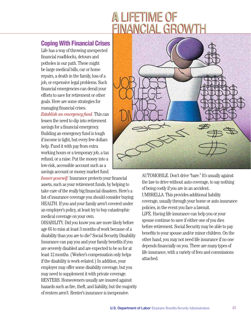# A LIFETIME OF A LIFETIME OF FINANCIAL GROWTH FINANCIAL GROWTH

# Coping With Financial Crises

Life has a way of throwing unexpected financial roadblocks, detours and potholes in our path. These might be large medical bills, car or home repairs, a death in the family, loss of a job, or expensive legal problems. Such financial emergencies can derail your efforts to save for retirement or other goals. Here are some strategies for managing financial crises.

*Establish an emergency fund.* This can lessen the need to dip into retirement savings for a financial emergency. Building an emergency fund is tough if income is tight, but every few dollars help. Fund it with pay from extra working hours or a temporary job, a tax refund, or a raise. Put the money into a low-risk, accessible account such as a savings account or money market fund.

*Insure yourself.* Insurance protects your financial assets, such as your retirement funds, by helping to take care of the really big financial disasters. Here's a list of insurance coverage you should consider buying: HEALTH. If you and your family aren't covered under an employer's policy, at least try to buy catastrophic medical coverage on your own.

DISABILITY. Did you know you are more likely before age 65 to miss at least 3 months of work because of a disability than you are to die? Social Security Disability Insurance can pay you and your family benefits if you are severely disabled and are expected to be so for at least 12 months. (Worker's compensation only helps if the disability is work-related.) In addition, your employer may offer some disability coverage, but you may need to supplement it with private coverage. RENTERS. Homeowners usually are insured against hazards such as fire, theft, and liability, but the majority of renters aren't. Renter's insurance is inexpensive.



AUTOMOBILE. Don't drive "bare." It's usually against the law to drive without auto coverage, to say nothing of being costly if you are in an accident. UMBRELLA. This provides additional liability coverage, usually through your home or auto insurance policies, in the event you face a lawsuit. LIFE. Having life insurance can help you or your spouse continue to save if either one of you dies before retirement. Social Security may be able to pay benefits to your spouse and/or minor children. On the other hand, you may not need life insurance if no one depends financially on you. There are many types of life insurance, with a variety of fees and commissions attached.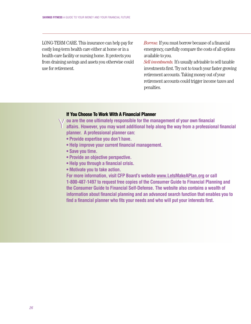LONG-TERM CARE. This insurance can help pay for costly long-term health care either at home or in a health-care facility or nursing home. It protects you from draining savings and assets you otherwise could use for retirement.

*Borrow.* If you must borrow because of a financial emergency, carefully compare the costs of all options available to you.

*Sell investments.* It's usually advisable to sell taxable investments first. Try not to touch your faster growing retirement accounts. Taking money out of your retirement accounts could trigger income taxes and penalties.

#### If You Choose To Work With A Financial Planner

**V** ou are the one ultimately responsible for the management of your own financial<br>affairs. However, you may want additional help along the way from a profession **affairs. However, you may want additional help along the way from a professional financial planner. A professional planner can:**

- **Provide expertise you don't have.**
- **Help improve your current financial management.**
- **Save you time.**
- **Provide an objective perspective.**
- **Help you through a financial crisis.**
- **Motivate you to take action.**

**For more information, visit CFP Board's website<www.LetsMakeAPlan.org> or call 1-800-487-1497 to request free copies of the Consumer Guide to Financial Planning and the Consumer Guide to Financial Self-Defense. The website also contains a wealth of information about financial planning and an advanced search function that enables you to find a financial planner who fits your needs and who will put your interests first.**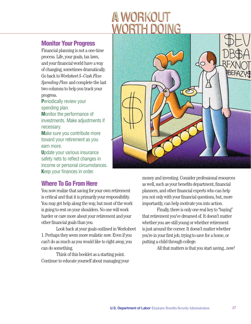# A WORKOUT A WORKOUT WORTH DOING WORTH DOING

# Monitor Your Progress

Financial planning is not a one-time process. Life, your goals, tax laws, and your financial world have a way of changing, sometimes dramatically. Go back to *Worksheet 5–Cash Flow Spending Plan* and complete the last two columns to help you track your progress.

**Periodically review your** spending plan.

Monitor the performance of investments. Make adjustments if necessary.

Make sure you contribute more toward your retirement as you earn more.

Update your various insurance safety nets to reflect changes in income or personal circumstances. **Keep your finances in order.** 



# Where To Go From Here

You now realize that saving for your own retirement is critical and that it is primarily your responsibility. You may get help along the way, but most of the work is going to rest on your shoulders. No one will work harder or care more about your retirement and your other financial goals than you.

Look back at your goals outlined in Worksheet 1. Perhaps they seem more realistic now. Even if you can't do as much as you would like to right away, you can do something.

Think of this booklet as a starting point. Continue to educate yourself about managing your money and investing. Consider professional resources as well, such as your benefits department, financial planners, and other financial experts who can help you not only with your financial questions, but, more importantly, can help motivate you into action.

Finally, there is only one real key to "buying" that retirement you've dreamed of. It doesn't matter whether you are still young or whether retirement is just around the corner. It doesn't matter whether you're in your first job, trying to save for a home, or putting a child through college.

All that matters is that you start saving...now!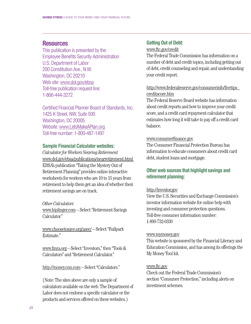### **Resources**

This publication is presented by the: Employee Benefits Security Administration U.S. Department of Labor 200 Constitution Ave., N.W. Washington, DC 20210 Web site: www.dol.gov/ebsa Toll-free publication request line: 1-866-444-3272

Certified Financial Planner Board of Standards, Inc. 1425 K Street, NW, Suite 500 Washington, DC 20005 Website: www.LetsMakeAPlan.org Toll-free number: 1-800-487-1497

#### **Sample Financial Calculator websites:**

*Calculator for Workers Nearing Retirement* [www.dol.gov/ebsa/publications/nearretirement.html](www.dol.gov/ebsa/Publications/nearretirement.html)  EBSA's publication "Taking the Mystery Out of Retirement Planning" provides online interactive worksheets for workers who are 10 to 15 years from retirement to help them get an idea of whether their retirement savings are on track.

### *Other Calculators*

<www.kiplinger.com> – Select "Retirement Savings Calculator."

[www.choosetosave.org/asec/]( http://www.choosetosave.org/asec/) – Select "Ballpark Estimate."

<www.finra.org> – Select "Investors," then "Tools & Calculators" and "Retirement Calculator."

<http://money.cnn.com> – Select "Calculators."

(Note: The sites above are only a sample of calculators available on the web. The Department of Labor does not endorse a specific calculator or the products and services offered on these websites.)

### **Getting Out of Debt:**

#### <www.ftc.gov/credit>

The Federal Trade Commission has information on a number of debt and credit topics, including getting out of debt, credit counseling and repair, and understanding your credit report.

## [http://www.federalreserve.gov/consumerinfo/fivetips\\_](http://www.federalreserve.gov/consumerinfo/fivetips_ creditscore.htm) [creditscore.htm](http://www.federalreserve.gov/consumerinfo/fivetips_ creditscore.htm)

The Federal Reserve Board website has information about credit reports and how to improve your credit score, and a credit card repayment calculator that estimates how long it will take to pay off a credit card balance.

#### <www.consumerfinance.gov>

The Consumer Financial Protection Bureau has information to educate consumers about credit card debt, student loans and mortgage.

## **Other web sources that highlight savings and retirement planning:**

#### <http://investor.gov>

View the U.S. Securities and Exchange Commission's investor information website for online help with investing and consumer protection questions. Toll-free consumer information number: 1-800-732-0330

#### <www.mymoney.gov>

This website is sponsored by the Financial Literacy and Education Commission, and has among its offerings the My Money Tool kit.

#### <www.ftc.gov>

Check out the Federal Trade Commission's section "Consumer Protection," including alerts on investment schemes.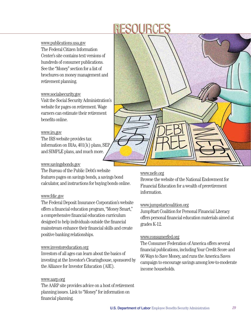# **RESOURCES**

## <www.publications.usa.gov>

The Federal Citizen Information Center's site contains text versions of hundreds of consumer publications. See the "Money" section for a list of brochures on money management and retirement planning.

## www.socialsecurity.gov

Visit the Social Security Administration's website for pages on retirement. Wage earners can estimate their retirement benefits online.

## <www.irs.gov>

The IRS website provides tax information on IRAs, 401(k) plans, SEP and SIMPLE plans, and much more.

## <www.savingsbonds.gov>

The Bureau of the Public Debt's website features pages on savings bonds, a savings bond calculator, and instructions for buying bonds online.

## <www.fdic.gov>

The Federal Deposit Insurance Corporation's website offers a financial education program, "Money Smart," a comprehensive financial education curriculum designed to help individuals outside the financial mainstream enhance their financial skills and create positive banking relationships.

### <www.investoreducation.org>

Investors of all ages can learn about the basics of investing at the Investor's Clearinghouse, sponsored by the Alliance for Investor Education (AIE).

### <www.aarp.org>

The AARP site provides advice on a host of retirement planning issues. Link to "Money" for information on financial planning.



## <www.nefe.org>

Browse the website of the National Endowment for Financial Education for a wealth of preretirement information.

### <www.jumpstartcoalition.org>

Jump\$tart Coalition for Personal Financial Literacy offers personal financial education materials aimed at grades K-12.

### <www.consumerfed.org>

The Consumer Federation of America offers several financial publications, including Your Credit Score and 66 Ways to Save Money, and runs the America Saves campaign to encourage savings among low-to-moderate income households.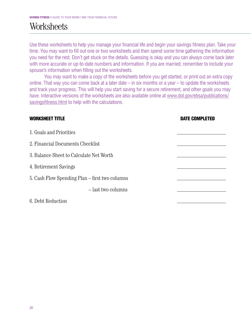# **Worksheets**

Use these worksheets to help you manage your financial life and begin your savings fitness plan. Take your time. You may want to fill out one or two worksheets and then spend some time gathering the information you need for the rest. Don't get stuck on the details. Guessing is okay and you can always come back later with more accurate or up-to-date numbers and information. If you are married, remember to include your spouse's information when filling out the worksheets.

You may want to make a copy of the worksheets before you get started, or print out an extra copy online. That way you can come back at a later date – in six months or a year – to update the worksheets and track your progress. This will help you start saving for a secure retirement, and other goals you may have. Interactive versions of the worksheets are also available online at [www.dol.gov/ebsa/publications/](http://www.dol.gov/ebsa/publications/savingsfitness.html) [savingsfitness.html](http://www.dol.gov/ebsa/publications/savingsfitness.html) to help with the calculations.

## WORKSHEET TITLE AND THE COMPLETED AND THE COMPLETED AND THE COMPLETED AND THE COMPLETED

| 1. Goals and Priorities                        |  |
|------------------------------------------------|--|
| 2. Financial Documents Checklist               |  |
| 3. Balance Sheet to Calculate Net Worth        |  |
| 4. Retirement Savings                          |  |
| 5. Cash Flow Spending Plan – first two columns |  |
| - last two columns                             |  |
| 6. Debt Reduction                              |  |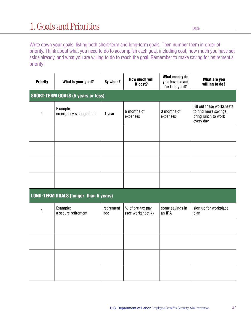Write down your goals, listing both short-term and long-term goals. Then number them in order of priority. Think about what you need to do to accomplish each goal, including cost, how much you have set aside already, and what you are willing to do to reach the goal. Remember to make saving for retirement a priority!

| <b>Priority</b> | What is your goal?                        | By when? | <b>How much will</b><br>it cost? | What money do<br>you have saved<br>for this goal? | What are you<br>willing to do?                                                         |
|-----------------|-------------------------------------------|----------|----------------------------------|---------------------------------------------------|----------------------------------------------------------------------------------------|
|                 | <b>SHORT-TERM GOALS (5 years or less)</b> |          |                                  |                                                   |                                                                                        |
| 1               | Example:<br>emergency savings fund        | 1 year   | 6 months of<br>expenses          | 3 months of<br>expenses                           | Fill out these worksheets<br>to find more savings,<br>bring lunch to work<br>every day |
|                 |                                           |          |                                  |                                                   |                                                                                        |
|                 |                                           |          |                                  |                                                   |                                                                                        |
|                 |                                           |          |                                  |                                                   |                                                                                        |
|                 |                                           |          |                                  |                                                   |                                                                                        |
|                 |                                           |          |                                  |                                                   |                                                                                        |

| <b>LONG-TERM GOALS (longer than 5 years)</b> |                                 |                   |                                       |                           |                               |  |  |
|----------------------------------------------|---------------------------------|-------------------|---------------------------------------|---------------------------|-------------------------------|--|--|
|                                              | Example:<br>a secure retirement | retirement<br>age | % of pre-tax pay<br>(see worksheet 4) | some savings in<br>an IRA | sign up for workplace<br>plan |  |  |
|                                              |                                 |                   |                                       |                           |                               |  |  |
|                                              |                                 |                   |                                       |                           |                               |  |  |
|                                              |                                 |                   |                                       |                           |                               |  |  |
|                                              |                                 |                   |                                       |                           |                               |  |  |
|                                              |                                 |                   |                                       |                           |                               |  |  |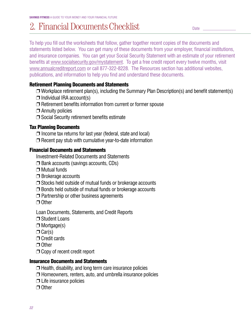# 2. Financial Documents Checklist

To help you fill out the worksheets that follow, gather together recent copies of the documents and statements listed below. You can get many of these documents from your employer, financial institutions, and insurance companies. You can get your Social Security Statement with an estimate of your retirement benefits at www.socialsecurity.gov/mystatement. To get a free credit report every twelve months, visit <www.annualcreditreport.com> or call 877-322-8228. The Resources section has additional websites, publications, and information to help you find and understand these documents.

# Retirement Planning Documents and Statements

 $\Box$  Workplace retirement plan(s), including the Summary Plan Description(s) and benefit statement(s)

- $\Box$  Individual IRA account(s)
- $\Box$  Retirement benefits information from current or former spouse
- $\Box$  Annuity policies
- $\Box$  Social Security retirement benefits estimate

## Tax Planning Documents

 $\Box$  Income tax returns for last year (federal, state and local)

 $\Box$  Recent pay stub with cumulative year-to-date information

# Financial Documents and Statements

Investment-Related Documents and Statements

 $\Box$  Bank accounts (savings accounts, CDs)

 $\Box$  Mutual funds

 $\Box$  Brokerage accounts

 $\Box$  Stocks held outside of mutual funds or brokerage accounts

 $\Box$  Bonds held outside of mutual funds or brokerage accounts

 $\Box$  Partnership or other business agreements

 $\Box$  Other

Loan Documents, Statements, and Credit Reports

**D** Student Loans

 $\Box$  Mortgage(s)

 $\Box$  Car(s)

 $\Box$  Credit cards

 $\Box$  Other

 $\Box$  Copy of recent credit report

## Insurance Documents and Statements

- $\Box$  Health, disability, and long term care insurance policies
- $\Box$  Homeowners, renters, auto, and umbrella insurance policies
- $\Box$  Life insurance policies
- $\Box$  Other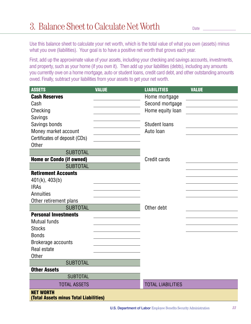Use this balance sheet to calculate your net worth, which is the total value of what you own (assets) minus what you owe (liabilities). Your goal is to have a positive net worth that grows each year.

First, add up the approximate value of your assets, including your checking and savings accounts, investments, and property, such as your home (if you own it). Then add up your liabilities (debts), including any amounts you currently owe on a home mortgage, auto or student loans, credit card debt, and other outstanding amounts owed. Finally, subtract your liabilities from your assets to get your net worth.

| <b>ASSETS</b>                                                     | <b>VALUE</b> | <b>LIABILITIES</b>       | <b>VALUE</b> |
|-------------------------------------------------------------------|--------------|--------------------------|--------------|
| <b>Cash Reserves</b>                                              |              | Home mortgage            |              |
| Cash                                                              |              | Second mortgage          |              |
| Checking                                                          |              | Home equity loan         |              |
| Savings                                                           |              |                          |              |
| Savings bonds                                                     |              | <b>Student loans</b>     |              |
| Money market account                                              |              | Auto Ioan                |              |
| Certificates of deposit (CDs)                                     |              |                          |              |
| Other                                                             |              |                          |              |
| <b>SUBTOTAL</b>                                                   |              |                          |              |
| <b>Home or Condo (if owned)</b>                                   |              | <b>Credit cards</b>      |              |
| <b>SUBTOTAL</b>                                                   |              |                          |              |
| <b>Retirement Accounts</b>                                        |              |                          |              |
| 401(k), 403(b)                                                    |              |                          |              |
| <b>IRAs</b>                                                       |              |                          |              |
| Annuities                                                         |              |                          |              |
| Other retirement plans                                            |              |                          |              |
| <b>SUBTOTAL</b>                                                   |              | Other debt               |              |
| <b>Personal Investments</b>                                       |              |                          |              |
| <b>Mutual funds</b>                                               |              |                          |              |
| <b>Stocks</b>                                                     |              |                          |              |
| <b>Bonds</b>                                                      |              |                          |              |
| Brokerage accounts                                                |              |                          |              |
| Real estate                                                       |              |                          |              |
| Other                                                             |              |                          |              |
| <b>SUBTOTAL</b>                                                   |              |                          |              |
| <b>Other Assets</b>                                               |              |                          |              |
| <b>SUBTOTAL</b>                                                   |              |                          |              |
| <b>TOTAL ASSETS</b>                                               |              | <b>TOTAL LIABILITIES</b> |              |
| <b>NET WORTH</b><br><b>(Total Assets minus Total Liabilities)</b> |              |                          |              |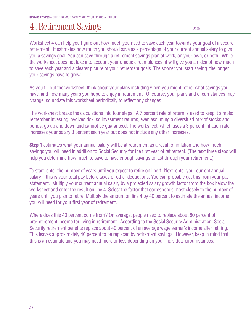# 4. Retirement Savings Date

Worksheet 4 can help you figure out how much you need to save each year towards your goal of a secure retirement. It estimates how much you should save as a percentage of your current annual salary to give you a savings goal. You can save through a retirement savings plan at work, on your own, or both. While the worksheet does not take into account your unique circumstances, it will give you an idea of how much to save each year and a clearer picture of your retirement goals. The sooner you start saving, the longer your savings have to grow.

As you fill out the worksheet, think about your plans including when you might retire, what savings you have, and how many years you hope to enjoy in retirement. Of course, your plans and circumstances may change, so update this worksheet periodically to reflect any changes.

The worksheet breaks the calculations into four steps. A 7 percent rate of return is used to keep it simple: remember investing involves risk, so investment returns, even assuming a diversified mix of stocks and bonds, go up and down and cannot be guaranteed. The worksheet, which uses a 3 percent inflation rate, increases your salary 3 percent each year but does not include any other increases.

**Step 1** estimates what your annual salary will be at retirement as a result of inflation and how much savings you will need in addition to Social Security for the first year of retirement. (The next three steps will help you determine how much to save to have enough savings to last through your retirement.)

To start, enter the number of years until you expect to retire on line 1. Next, enter your current annual salary – this is your total pay before taxes or other deductions. You can probably get this from your pay statement. Multiply your current annual salary by a projected salary growth factor from the box below the worksheet and enter the result on line 4. Select the factor that corresponds most closely to the number of years until you plan to retire. Multiply the amount on line 4 by 40 percent to estimate the annual income you will need for your first year of retirement.

Where does this 40 percent come from? On average, people need to replace about 80 percent of pre-retirement income for living in retirement. According to the Social Security Administration, Social Security retirement benefits replace about 40 percent of an average wage earner's income after retiring. This leaves approximately 40 percent to be replaced by retirement savings. However, keep in mind that this is an estimate and you may need more or less depending on your individual circumstances.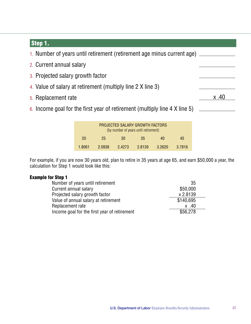# Step 1.

|                                                                               | 1. Number of years until retirement (retirement age minus current age) _____ |  |  |  |  |  |
|-------------------------------------------------------------------------------|------------------------------------------------------------------------------|--|--|--|--|--|
|                                                                               |                                                                              |  |  |  |  |  |
| 2. Current annual salary                                                      |                                                                              |  |  |  |  |  |
|                                                                               | 3. Projected salary growth factor                                            |  |  |  |  |  |
| 4. Value of salary at retirement (multiply line 2 X line 3)                   |                                                                              |  |  |  |  |  |
| 5. Replacement rate                                                           | x.40                                                                         |  |  |  |  |  |
| 6. Income goal for the first year of retirement (multiply line 4 X line 5) __ |                                                                              |  |  |  |  |  |
|                                                                               |                                                                              |  |  |  |  |  |
|                                                                               | PROJECTED SALARY GROWTH FACTORS                                              |  |  |  |  |  |

| PROJECTED SALARY GROWTH FACTORS<br>(by number of years until retirement) |        |        |        |        |        |
|--------------------------------------------------------------------------|--------|--------|--------|--------|--------|
| 20                                                                       | 25     | -30    | -35    | 40     | 45     |
| 1.8061                                                                   | 2.0938 | 2.4273 | 2.8139 | 3.2620 | 3.7816 |

For example, if you are now 30 years old, plan to retire in 35 years at age 65, and earn \$50,000 a year, the calculation for Step 1 would look like this:

| Number of years until retirement             | -35       |
|----------------------------------------------|-----------|
| Current annual salary                        | \$50,000  |
| Projected salary growth factor               | x 2.8139  |
| Value of annual salary at retirement         | \$140,695 |
| Replacement rate                             | $x$ .40   |
| Income goal for the first year of retirement | \$56,278  |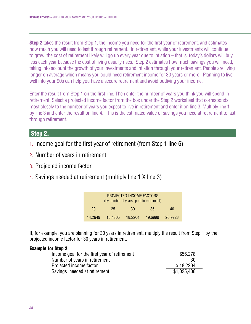**Step 2** takes the result from Step 1, the income you need for the first year of retirement, and estimates how much you will need to last through retirement. In retirement, while your investments will continue to grow, the cost of retirement likely will go up every year due to inflation – that is, today's dollars will buy less each year because the cost of living usually rises. Step 2 estimates how much savings you will need, taking into account the growth of your investments and inflation through your retirement. People are living longer on average which means you could need retirement income for 30 years or more. Planning to live well into your 90s can help you have a secure retirement and avoid outliving your income.

Enter the result from Step 1 on the first line. Then enter the number of years you think you will spend in retirement. Select a projected income factor from the box under the Step 2 worksheet that corresponds most closely to the number of years you expect to live in retirement and enter it on line 3. Multiply line 1 by line 3 and enter the result on line 4. This is the estimated value of savings you need at retirement to last through retirement.

# Step 2.

- 1. Income goal for the first year of retirement (from Step 1 line 6)
- 2. Number of years in retirement
- 3. Projected income factor
- 4. Savings needed at retirement (multiply line 1 X line 3)

| PROJECTED INCOME FACTORS<br>(by number of years spent in retirement) |         |         |         |         |  |
|----------------------------------------------------------------------|---------|---------|---------|---------|--|
| 20                                                                   | 25      | 30      | 35      | 40      |  |
| 14.2649                                                              | 16.4305 | 18.2204 | 19.6999 | 20.9228 |  |

If, for example, you are planning for 30 years in retirement, multiply the result from Step 1 by the projected income factor for 30 years in retirement.

| Income goal for the first year of retirement | \$56,278    |
|----------------------------------------------|-------------|
| Number of years in retirement                | 30          |
| Projected income factor                      | x 18.2204   |
| Savings needed at retirement                 | \$1,025,408 |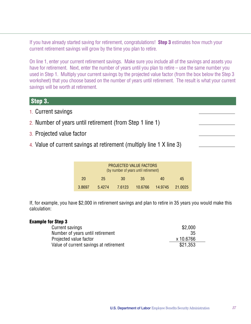If you have already started saving for retirement, congratulations! Step 3 estimates how much your current retirement savings will grow by the time you plan to retire.

On line 1, enter your current retirement savings. Make sure you include all of the savings and assets you have for retirement. Next, enter the number of years until you plan to retire – use the same number you used in Step 1. Multiply your current savings by the projected value factor (from the box below the Step 3 worksheet) that you choose based on the number of years until retirement. The result is what your current savings will be worth at retirement.

# Step 3.

- 1. Current savings
- 2. Number of years until retirement (from Step 1 line 1)
- 3. Projected value factor
- 4. Value of current savings at retirement (multiply line 1 X line 3)

| PROJECTED VALUE FACTORS<br>(by number of years until retirement) |        |        |         |         |         |  |
|------------------------------------------------------------------|--------|--------|---------|---------|---------|--|
| 20                                                               | 25     | 30     | -35     | 40      | 45      |  |
| 3.8697                                                           | 5.4274 | 7 6123 | 10.6766 | 14.9745 | 21.0025 |  |

If, for example, you have \$2,000 in retirement savings and plan to retire in 35 years you would make this calculation:

| Current savings                        | \$2,000   |
|----------------------------------------|-----------|
| Number of years until retirement       | -35       |
| Projected value factor                 | x 10.6766 |
| Value of current savings at retirement | \$21,353  |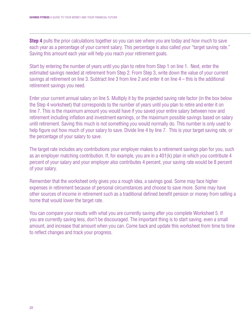**Step 4** pulls the prior calculations together so you can see where you are today and how much to save each year as a percentage of your current salary. This percentage is also called your "target saving rate." Saving this amount each year will help you reach your retirement goals.

Start by entering the number of years until you plan to retire from Step 1 on line 1. Next, enter the estimated savings needed at retirement from Step 2. From Step 3, write down the value of your current savings at retirement on line 3. Subtract line 3 from line 2 and enter it on line 4 – this is the additional retirement savings you need.

Enter your current annual salary on line 5. Multiply it by the projected saving rate factor (in the box below the Step 4 worksheet) that corresponds to the number of years until you plan to retire and enter it on line 7. This is the maximum amount you would have if you saved your entire salary between now and retirement including inflation and investment earnings, or the maximum possible savings based on salary until retirement. Saving this much is not something you would normally do. This number is only used to help figure out how much of your salary to save. Divide line 4 by line 7. This is your target saving rate, or the percentage of your salary to save.

The target rate includes any contributions your employer makes to a retirement savings plan for you, such as an employer matching contribution. If, for example, you are in a 401(k) plan in which you contribute 4 percent of your salary and your employer also contributes 4 percent, your saving rate would be 8 percent of your salary.

Remember that the worksheet only gives you a rough idea, a savings goal. Some may face higher expenses in retirement because of personal circumstances and choose to save more. Some may have other sources of income in retirement such as a traditional defined benefit pension or money from selling a home that would lower the target rate.

You can compare your results with what you are currently saving after you complete Worksheet 5. If you are currently saving less, don't be discouraged. The important thing is to start saving, even a small amount, and increase that amount when you can. Come back and update this worksheet from time to time to reflect changes and track your progress.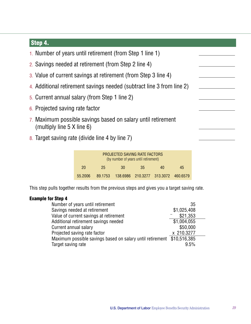# Step 4.

| 1. Number of years until retirement (from Step 1 line 1)                                             |  |
|------------------------------------------------------------------------------------------------------|--|
| 2. Savings needed at retirement (from Step 2 line 4)                                                 |  |
| 3. Value of current savings at retirement (from Step 3 line 4)                                       |  |
| 4. Additional retirement savings needed (subtract line 3 from line 2)                                |  |
| 5. Current annual salary (from Step 1 line 2)                                                        |  |
| 6. Projected saving rate factor                                                                      |  |
| 7. Maximum possible savings based on salary until retirement<br>(multiply line $5 \times$ line $6$ ) |  |
| 8. Target saving rate (divide line 4 by line 7)                                                      |  |

| <b>PROJECTED SAVING RATE FACTORS</b><br>(by number of years until retirement) |  |                                                 |  |  |  |  |
|-------------------------------------------------------------------------------|--|-------------------------------------------------|--|--|--|--|
| 45<br>20<br>-35 -<br>-30<br>40<br>25.                                         |  |                                                 |  |  |  |  |
| 55 2006                                                                       |  | 89.1753  138.6986  210.3277  313.3072  460.6579 |  |  |  |  |

This step pulls together results from the previous steps and gives you a target saving rate.

| Number of years until retirement                                       | 35          |  |
|------------------------------------------------------------------------|-------------|--|
| Savings needed at retirement                                           | \$1,025,408 |  |
| Value of current savings at retirement                                 | \$21,353    |  |
| Additional retirement savings needed                                   | \$1,004,055 |  |
| Current annual salary                                                  | \$50,000    |  |
| Projected saving rate factor                                           | x 210.3277  |  |
| Maximum possible savings based on salary until retirement \$10,516,385 |             |  |
| Target saving rate                                                     | 9.5%        |  |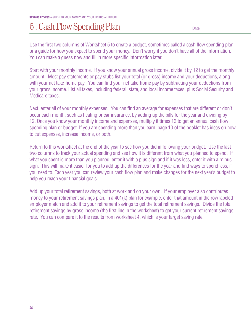# 5 . Cash Flow Spending Plan

Date

Use the first two columns of Worksheet 5 to create a budget, sometimes called a cash flow spending plan or a guide for how you expect to spend your money. Don't worry if you don't have all of the information. You can make a guess now and fill in more specific information later.

Start with your monthly income. If you know your annual gross income, divide it by 12 to get the monthly amount. Most pay statements or pay stubs list your total (or gross) income and your deductions, along with your net take-home pay. You can find your net take-home pay by subtracting your deductions from your gross income. List all taxes, including federal, state, and local income taxes, plus Social Security and Medicare taxes.

Next, enter all of your monthly expenses. You can find an average for expenses that are different or don't occur each month, such as heating or car insurance, by adding up the bills for the year and dividing by 12. Once you know your monthly income and expenses, multiply it times 12 to get an annual cash flow spending plan or budget. If you are spending more than you earn, page 10 of the booklet has ideas on how to cut expenses, increase income, or both.

Return to this worksheet at the end of the year to see how you did in following your budget. Use the last two columns to track your actual spending and see how it is different from what you planned to spend. If what you spent is more than you planned, enter it with a plus sign and if it was less, enter it with a minus sign. This will make it easier for you to add up the differences for the year and find ways to spend less, if you need to. Each year you can review your cash flow plan and make changes for the next year's budget to help you reach your financial goals.

Add up your total retirement savings, both at work and on your own. If your employer also contributes money to your retirement savings plan, in a 401(k) plan for example, enter that amount in the row labeled employer match and add it to your retirement savings to get the total retirement savings. Divide the total retirement savings by gross income (the first line in the worksheet) to get your current retirement savings rate. You can compare it to the results from worksheet 4, which is your target saving rate.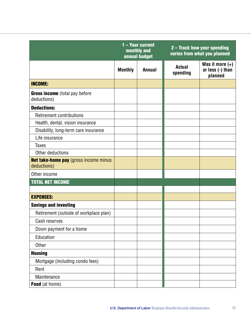|                                                             | 1 - Your current<br>monthly and<br>annual budget |               | 2 - Track how your spending<br>varies from what you planned |                                                  |  |
|-------------------------------------------------------------|--------------------------------------------------|---------------|-------------------------------------------------------------|--------------------------------------------------|--|
|                                                             | <b>Monthly</b>                                   | <b>Annual</b> | <b>Actual</b><br>spending                                   | Was it more $(+)$<br>or less (-) than<br>planned |  |
| <b>INCOME:</b>                                              |                                                  |               |                                                             |                                                  |  |
| <b>Gross income</b> (total pay before<br>deductions)        |                                                  |               |                                                             |                                                  |  |
| <b>Deductions:</b>                                          |                                                  |               |                                                             |                                                  |  |
| <b>Retirement contributions</b>                             |                                                  |               |                                                             |                                                  |  |
| Health, dental, vision insurance                            |                                                  |               |                                                             |                                                  |  |
| Disability, long-term care insurance                        |                                                  |               |                                                             |                                                  |  |
| Life insurance                                              |                                                  |               |                                                             |                                                  |  |
| <b>Taxes</b>                                                |                                                  |               |                                                             |                                                  |  |
| Other deductions                                            |                                                  |               |                                                             |                                                  |  |
| <b>Net take-home pay (gross income minus</b><br>deductions) |                                                  |               |                                                             |                                                  |  |
| Other income                                                |                                                  |               |                                                             |                                                  |  |
| <b>TOTAL NET INCOME</b>                                     |                                                  |               |                                                             |                                                  |  |
|                                                             |                                                  |               |                                                             |                                                  |  |
| <b>EXPENSES:</b>                                            |                                                  |               |                                                             |                                                  |  |
| <b>Savings and investing</b>                                |                                                  |               |                                                             |                                                  |  |
| Retirement (outside of workplace plan)                      |                                                  |               |                                                             |                                                  |  |
| Cash reserves                                               |                                                  |               |                                                             |                                                  |  |
| Down payment for a home                                     |                                                  |               |                                                             |                                                  |  |
| Education                                                   |                                                  |               |                                                             |                                                  |  |
| Other                                                       |                                                  |               |                                                             |                                                  |  |
| <b>Housing</b>                                              |                                                  |               |                                                             |                                                  |  |
| Mortgage (including condo fees)                             |                                                  |               |                                                             |                                                  |  |
| Rent                                                        |                                                  |               |                                                             |                                                  |  |
| Maintenance                                                 |                                                  |               |                                                             |                                                  |  |
| Food (at home)                                              |                                                  |               |                                                             |                                                  |  |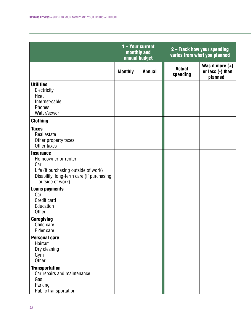|                                                                                                                                                         | 1 - Your current<br>monthly and<br>annual budget |               | 2 - Track how your spending<br>varies from what you planned |                                                  |  |
|---------------------------------------------------------------------------------------------------------------------------------------------------------|--------------------------------------------------|---------------|-------------------------------------------------------------|--------------------------------------------------|--|
|                                                                                                                                                         | <b>Monthly</b>                                   | <b>Annual</b> | <b>Actual</b><br>spending                                   | Was it more $(+)$<br>or less (-) than<br>planned |  |
| <b>Utilities</b><br>Electricity<br>Heat<br>Internet/cable<br><b>Phones</b><br>Water/sewer                                                               |                                                  |               |                                                             |                                                  |  |
| <b>Clothing</b>                                                                                                                                         |                                                  |               |                                                             |                                                  |  |
| <b>Taxes</b><br>Real estate<br>Other property taxes<br>Other taxes                                                                                      |                                                  |               |                                                             |                                                  |  |
| <b>Insurance</b><br>Homeowner or renter<br>Car<br>Life (if purchasing outside of work)<br>Disability, long-term care (if purchasing<br>outside of work) |                                                  |               |                                                             |                                                  |  |
| <b>Loans payments</b><br>Car<br>Credit card<br>Education<br>Other                                                                                       |                                                  |               |                                                             |                                                  |  |
| <b>Caregiving</b><br>Child care<br>Elder care                                                                                                           |                                                  |               |                                                             |                                                  |  |
| <b>Personal care</b><br>Haircut<br>Dry cleaning<br>Gym<br>Other                                                                                         |                                                  |               |                                                             |                                                  |  |
| <b>Transportation</b><br>Car repairs and maintenance<br>Gas<br>Parking<br>Public transportation                                                         |                                                  |               |                                                             |                                                  |  |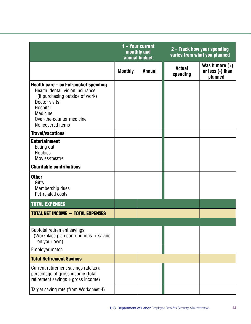|                                                                                                                                                                                                              | 1 - Your current<br>monthly and<br>annual budget |        |                           | 2 - Track how your spending<br>varies from what you planned |  |  |
|--------------------------------------------------------------------------------------------------------------------------------------------------------------------------------------------------------------|--------------------------------------------------|--------|---------------------------|-------------------------------------------------------------|--|--|
|                                                                                                                                                                                                              | <b>Monthly</b>                                   | Annual | <b>Actual</b><br>spending | Was it more $(+)$<br>or less (-) than<br>planned            |  |  |
| Health care – out-of-pocket spending<br>Health, dental, vision insurance<br>(if purchasing outside of work)<br>Doctor visits<br>Hospital<br><b>Medicine</b><br>Over-the-counter medicine<br>Noncovered items |                                                  |        |                           |                                                             |  |  |
| <b>Travel/vacations</b>                                                                                                                                                                                      |                                                  |        |                           |                                                             |  |  |
| <b>Entertainment</b><br>Eating out<br><b>Hobbies</b><br>Movies/theatre                                                                                                                                       |                                                  |        |                           |                                                             |  |  |
| <b>Charitable contributions</b>                                                                                                                                                                              |                                                  |        |                           |                                                             |  |  |
| <b>Other</b><br>Gifts<br>Membership dues<br>Pet-related costs                                                                                                                                                |                                                  |        |                           |                                                             |  |  |
| <b>TOTAL EXPENSES</b>                                                                                                                                                                                        |                                                  |        |                           |                                                             |  |  |
| <b>TOTAL NET INCOME - TOTAL EXPENSES</b>                                                                                                                                                                     |                                                  |        |                           |                                                             |  |  |
|                                                                                                                                                                                                              |                                                  |        |                           |                                                             |  |  |
| Subtotal retirement savings<br>(Workplace plan contributions + saving<br>on your own)                                                                                                                        |                                                  |        |                           |                                                             |  |  |
| Employer match                                                                                                                                                                                               |                                                  |        |                           |                                                             |  |  |
| <b>Total Retirement Savings</b>                                                                                                                                                                              |                                                  |        |                           |                                                             |  |  |
| Current retirement savings rate as a<br>percentage of gross income (total<br>retirement savings $\div$ gross income)                                                                                         |                                                  |        |                           |                                                             |  |  |
| Target saving rate (from Worksheet 4)                                                                                                                                                                        |                                                  |        |                           |                                                             |  |  |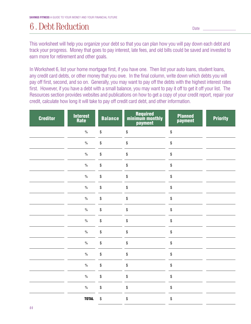# 6 . Debt Reduction Date

This worksheet will help you organize your debt so that you can plan how you will pay down each debt and track your progress. Money that goes to pay interest, late fees, and old bills could be saved and invested to earn more for retirement and other goals.

In Worksheet 6, list your home mortgage first, if you have one. Then list your auto loans, student loans, any credit card debts, or other money that you owe. In the final column, write down which debts you will pay off first, second, and so on. Generally, you may want to pay off the debts with the highest interest rates first. However, if you have a debt with a small balance, you may want to pay it off to get it off your list. The Resources section provides websites and publications on how to get a copy of your credit report, repair your credit, calculate how long it will take to pay off credit card debt, and other information.

| <b>Creditor</b> | <b>Interest<br/>Rate</b> | <b>Balance</b> | Required<br>minimum monthly<br>payment | <b>Planned</b><br>payment | <b>Priority</b> |
|-----------------|--------------------------|----------------|----------------------------------------|---------------------------|-----------------|
|                 | $\frac{0}{0}$            | \$             | \$                                     | \$                        |                 |
|                 | $\frac{0}{0}$            | \$             | \$                                     | \$                        |                 |
|                 | $\frac{0}{0}$            | \$             | \$                                     | \$                        |                 |
|                 | $\frac{0}{0}$            | \$             | \$                                     | \$                        |                 |
|                 | $\frac{0}{0}$            | \$             | \$                                     | \$                        |                 |
|                 | $\frac{0}{0}$            | \$             | \$                                     | \$                        |                 |
|                 | $\frac{0}{0}$            | \$             | \$                                     | \$                        |                 |
|                 | $\frac{0}{0}$            | \$             | \$                                     | \$                        |                 |
|                 | $\frac{0}{0}$            | \$             | \$                                     | \$                        |                 |
|                 | $\frac{0}{0}$            | \$             | \$                                     | \$                        |                 |
|                 | $\frac{0}{0}$            | \$             | \$                                     | \$                        |                 |
|                 | $\frac{0}{0}$            | \$             | \$                                     | \$                        |                 |
|                 | $\frac{0}{0}$            | \$             | \$                                     | \$                        |                 |
|                 | $\frac{0}{0}$            | \$             | \$                                     | \$                        |                 |
|                 | $\frac{0}{0}$            | \$             | \$                                     | \$                        |                 |
|                 | <b>TOTAL</b>             | \$             | \$                                     | \$                        |                 |